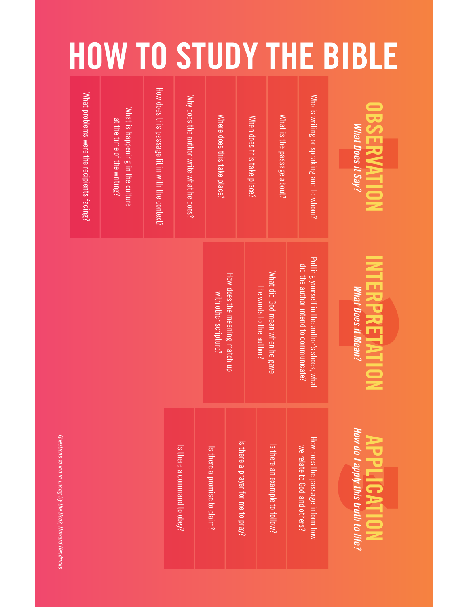## HOW TO STUDY THE BIBLE

| What problems were the recipients facing? | What is happening in the culture<br>at the time of the writing? | How does this passage fit in with the context? | Why does the author write what he does? | Where does this take place?  |                                   | When does this take place? | What is the passage about?     | Who is writing or speaking and to whom?                                               | <b>OBSERVATION</b><br>What Does it Say?                  |  |
|-------------------------------------------|-----------------------------------------------------------------|------------------------------------------------|-----------------------------------------|------------------------------|-----------------------------------|----------------------------|--------------------------------|---------------------------------------------------------------------------------------|----------------------------------------------------------|--|
|                                           |                                                                 |                                                |                                         | with other scripture?        | How does the meaning match up     | the words to the author?   | What did God mean when he gave | Putting yourself in the author's shoes, what<br>did the author intend to communicate? | <b>INTERPRETATION</b><br><u>What Does it Mean?</u>       |  |
|                                           |                                                                 |                                                | Is there a command to obey?             | Is there a promise to claim? | Is there a prayer for me to pray? |                            | Is there an example to follow? | How does the passage inform how<br>we relate to God and others?                       | How do I apply this truth to life?<br><b>APPLICATION</b> |  |

Questions found in Living By the Book, Howard Hendricks *Questions found in Living By the Book, Howard Hendricks*